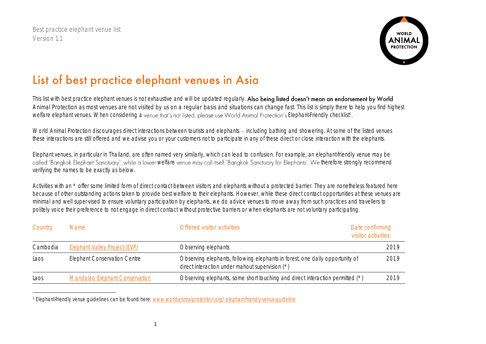Best practice elephant venue list Version 1.1

 $\overline{a}$ 



## List of best practice elephant venues in Asia

This list with best practice elephant venues is not exhaustive and will be updated reqularly. Also being listed doesn't mean an endorsement by World Animal Protection as most venues are not visited by us on a regular basis and situations can change fast. This list is simply there to help you find highest welfare elephant venues. When considering a venue that's not listed, please use World Animal Protection's Elephant-Friendly checklist<sup>1</sup>.

World Animal Protection discourages direct interactions between tourists and elephants - including bathing and showering. At some of the listed venues these interactions are still offered and we advise you or your customers not to participate in any of these direct or close interaction with the elephants.

Elephant venues, in particular in Thailand, are often named very similarly, which can lead to confusion. For example, an elephant-friendly venue may be called 'Bangkok Elephant Sanctuary', while a lower welfare venue may call itself 'Bangkok Sanctuary for Elephants'. We therefore strongly recommend verifying the names to be exactly as below.

Activities with an \* offer some limited form of direct contact between visitors and elephants without a protected barrier. They are nonetheless featured here because of other outstanding actions taken to provide best welfare to their elephants. However, while these direct contact opportunities at these venues are minimal and well super-vised to ensure voluntary participation by elephants, we do advice venues to move away from such practices and travellers to politely voice their preference to not engage in direct contact without protective barriers or when elephants are not voluntary participating.

| Country  | Name                                  | Offered visitor activities                                                                                                        | Date confirming<br>visitor activities |
|----------|---------------------------------------|-----------------------------------------------------------------------------------------------------------------------------------|---------------------------------------|
| Cambodia | <b>Elephant Valley Project (EVP)</b>  | Observing elephants                                                                                                               | 2019                                  |
| Laos     | <b>Elephant Conservation Centre</b>   | Observing elephants, following elephants in forest, one daily opportunity of<br>direct interaction under mahout supervision $(*)$ | 2019                                  |
| Laos     | <b>Mandalao Elephant Conservation</b> | Observing elephants, some short touching and direct interaction permitted (*)                                                     | 2019                                  |

<sup>1</sup> Elephant-friendly venue guidelines can be found here: [www.worldanimalprotection.org/elephant-friendly-venue-guideline](http://www.worldanimalprotection.org/elephant-friendly-venue-guideline)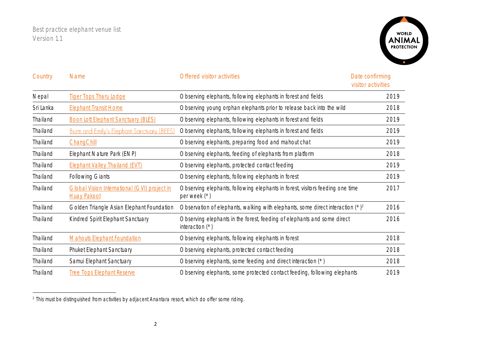Best practice elephant venue list Version 1.1

 $\overline{\phantom{a}}$ 



| Country   | <b>Name</b>                                                               | Offered visitor activities                                                                      | Date confirming<br>visitor activities |
|-----------|---------------------------------------------------------------------------|-------------------------------------------------------------------------------------------------|---------------------------------------|
| Nepal     | <b>Tiger Tops Tharu Lodge</b>                                             | Observing elephants, following elephants in forest and fields                                   | 2019                                  |
| Sri Lanka | <b>Elephant Transit Home</b>                                              | Observing young orphan elephants prior to release back into the wild                            | 2018                                  |
| Thailand  | <b>Boon Lott Elephant Sanctuary (BLES)</b>                                | Observing elephants, following elephants in forest and fields                                   | 2019                                  |
| Thailand  | <b>Burm and Emily's Elephant Sanctuary (BEES)</b>                         | Observing elephants, following elephants in forest and fields                                   | 2019                                  |
| Thailand  | ChangChill                                                                | Observing elephants, preparing food and mahout chat                                             | 2019                                  |
| Thailand  | Elephant Nature Park (ENP)                                                | Observing elephants, feeding of elephants from platform                                         | 2018                                  |
| Thailand  | <b>Elephant Valley Thailand (EVT)</b>                                     | Observing elephants, protected contact feeding                                                  | 2019                                  |
| Thailand  | <b>Following Giants</b>                                                   | Observing elephants, following elephants in forest                                              | 2019                                  |
| Thailand  | <b>Global Vision International (GVI) project in</b><br><b>Huay Pakoot</b> | Observing elephants, following elephants in forest, visitors feeding one time<br>per week $(*)$ | 2017                                  |
| Thailand  | Golden Triangle Asian Elephant Foundation                                 | Observation of elephants, walking with elephants, some direct interaction $(*)^2$               | 2016                                  |
| Thailand  | Kindred Spirit Elephant Sanctuary                                         | Observing elephants in the forest, feeding of elephants and some direct<br>interaction $(*)$    | 2016                                  |
| Thailand  | <b>Mahouts Elephant Foundation</b>                                        | Observing elephants, following elephants in forest                                              | 2018                                  |
| Thailand  | Phuket Elephant Sanctuary                                                 | Observing elephants, protected contact feeding                                                  | 2018                                  |
| Thailand  | Samui Elephant Sanctuary                                                  | Observing elephants, some feeding and direct interaction (*)                                    | 2018                                  |
| Thailand  | <b>Tree Tops Elephant Reserve</b>                                         | Observing elephants, some protected contact feeding, following elephants                        | 2019                                  |

<sup>2</sup> This must be distinguished from activities by adjacent Anantara resort, which do offer some riding.